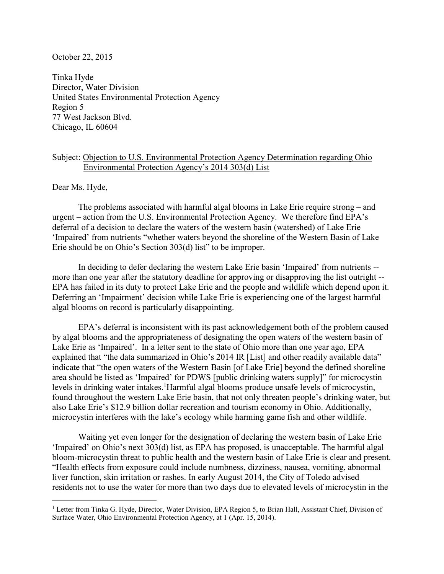## October 22, 2015

Tinka Hyde Director, Water Division United States Environmental Protection Agency Region 5 77 West Jackson Blvd. Chicago, IL 60604

## Subject: Objection to U.S. Environmental Protection Agency Determination regarding Ohio Environmental Protection Agency's 2014 303(d) List

Dear Ms. Hyde,

 $\overline{a}$ 

The problems associated with harmful algal blooms in Lake Erie require strong – and urgent – action from the U.S. Environmental Protection Agency. We therefore find EPA's deferral of a decision to declare the waters of the western basin (watershed) of Lake Erie 'Impaired' from nutrients "whether waters beyond the shoreline of the Western Basin of Lake Erie should be on Ohio's Section 303(d) list" to be improper.

In deciding to defer declaring the western Lake Erie basin 'Impaired' from nutrients - more than one year after the statutory deadline for approving or disapproving the list outright -- EPA has failed in its duty to protect Lake Erie and the people and wildlife which depend upon it. Deferring an 'Impairment' decision while Lake Erie is experiencing one of the largest harmful algal blooms on record is particularly disappointing.

EPA's deferral is inconsistent with its past acknowledgement both of the problem caused by algal blooms and the appropriateness of designating the open waters of the western basin of Lake Erie as 'Impaired'. In a letter sent to the state of Ohio more than one year ago, EPA explained that "the data summarized in Ohio's 2014 IR [List] and other readily available data" indicate that "the open waters of the Western Basin [of Lake Erie] beyond the defined shoreline area should be listed as 'Impaired' for PDWS [public drinking waters supply]" for microcystin levels in drinking water intakes.<sup>1</sup>Harmful algal blooms produce unsafe levels of microcystin, found throughout the western Lake Erie basin, that not only threaten people's drinking water, but also Lake Erie's \$12.9 billion dollar recreation and tourism economy in Ohio. Additionally, microcystin interferes with the lake's ecology while harming game fish and other wildlife.

Waiting yet even longer for the designation of declaring the western basin of Lake Erie 'Impaired' on Ohio's next 303(d) list, as EPA has proposed, is unacceptable. The harmful algal bloom-microcystin threat to public health and the western basin of Lake Erie is clear and present. "Health effects from exposure could include numbness, dizziness, nausea, vomiting, abnormal liver function, skin irritation or rashes. In early August 2014, the City of Toledo advised residents not to use the water for more than two days due to elevated levels of microcystin in the

<sup>&</sup>lt;sup>1</sup> Letter from Tinka G. Hyde, Director, Water Division, EPA Region 5, to Brian Hall, Assistant Chief, Division of Surface Water, Ohio Environmental Protection Agency, at 1 (Apr. 15, 2014).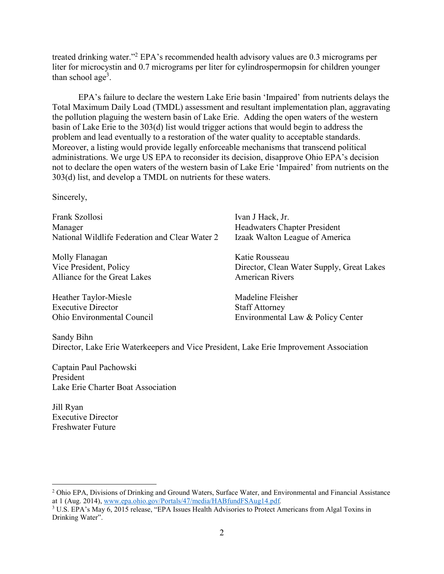treated drinking water."<sup>2</sup> EPA's recommended health advisory values are 0.3 micrograms per liter for microcystin and 0.7 micrograms per liter for cylindrospermopsin for children younger than school age<sup>3</sup>.

EPA's failure to declare the western Lake Erie basin 'Impaired' from nutrients delays the Total Maximum Daily Load (TMDL) assessment and resultant implementation plan, aggravating the pollution plaguing the western basin of Lake Erie. Adding the open waters of the western basin of Lake Erie to the 303(d) list would trigger actions that would begin to address the problem and lead eventually to a restoration of the water quality to acceptable standards. Moreover, a listing would provide legally enforceable mechanisms that transcend political administrations. We urge US EPA to reconsider its decision, disapprove Ohio EPA's decision not to declare the open waters of the western basin of Lake Erie 'Impaired' from nutrients on the 303(d) list, and develop a TMDL on nutrients for these waters.

Sincerely,

| Frank Szollosi<br>Manager                      | Ivan J Hack, Jr.<br><b>Headwaters Chapter President</b> |
|------------------------------------------------|---------------------------------------------------------|
| National Wildlife Federation and Clear Water 2 | Izaak Walton League of America                          |
| Molly Flanagan                                 | Katie Rousseau                                          |
| Vice President, Policy                         | Director, Clean Water Supply, Great Lakes               |
| Alliance for the Great Lakes                   | <b>American Rivers</b>                                  |
| Heather Taylor-Miesle                          | Madeline Fleisher                                       |
| <b>Executive Director</b>                      | <b>Staff Attorney</b>                                   |
| Ohio Environmental Council                     | Environmental Law & Policy Center                       |

Sandy Bihn Director, Lake Erie Waterkeepers and Vice President, Lake Erie Improvement Association

Captain Paul Pachowski President Lake Erie Charter Boat Association

Jill Ryan Executive Director Freshwater Future

 $\overline{a}$ 

<sup>&</sup>lt;sup>2</sup> Ohio EPA, Divisions of Drinking and Ground Waters, Surface Water, and Environmental and Financial Assistance at 1 (Aug. 2014), www.epa.ohio.gov/Portals/47/media/HABfundFSAug14.pdf*.*

<sup>&</sup>lt;sup>3</sup> U.S. EPA's May 6, 2015 release, "EPA Issues Health Advisories to Protect Americans from Algal Toxins in Drinking Water".